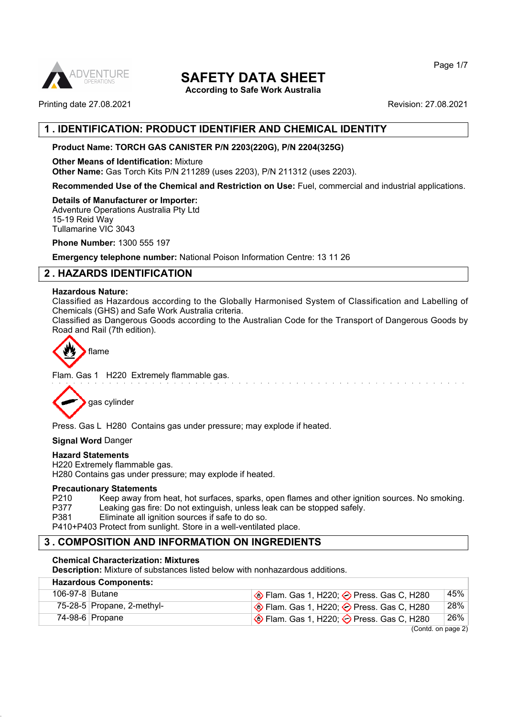

**According to Safe Work Australia**

Printing date 27.08.2021 **Revision: 27.08.2021** 

## **1 . IDENTIFICATION: PRODUCT IDENTIFIER AND CHEMICAL IDENTITY**

### **Product Name: TORCH GAS CANISTER P/N 2203(220G), P/N 2204(325G)**

**Other Means of Identification:** Mixture **Other Name:** Gas Torch Kits P/N 211289 (uses 2203), P/N 211312 (uses 2203).

**Recommended Use of the Chemical and Restriction on Use:** Fuel, commercial and industrial applications.

#### **Details of Manufacturer or Importer:**

Adventure Operations Australia Pty Ltd 15-19 Reid Way Tullamarine VIC 3043

**Phone Number:** 1300 555 197

**Emergency telephone number:** National Poison Information Centre: 13 11 26

## **2 . HAZARDS IDENTIFICATION**

#### **Hazardous Nature:**

Classified as Hazardous according to the Globally Harmonised System of Classification and Labelling of Chemicals (GHS) and Safe Work Australia criteria.

Classified as Dangerous Goods according to the Australian Code for the Transport of Dangerous Goods by Road and Rail (7th edition).



Flam. Gas 1 H220 Extremely flammable gas.



Press. Gas L H280 Contains gas under pressure; may explode if heated.

**Signal Word** Danger

#### **Hazard Statements**

H220 Extremely flammable gas. H280 Contains gas under pressure; may explode if heated.

#### **Precautionary Statements**

P210 Keep away from heat, hot surfaces, sparks, open flames and other ignition sources. No smoking.<br>P377 Leaking gas fire: Do not extinguish, unless leak can be stopped safely. Leaking gas fire: Do not extinguish, unless leak can be stopped safely.

P381 Eliminate all ignition sources if safe to do so.

P410+P403 Protect from sunlight. Store in a well-ventilated place.

## **3 . COMPOSITION AND INFORMATION ON INGREDIENTS**

#### **Chemical Characterization: Mixtures**

**Description:** Mixture of substances listed below with nonhazardous additions.

| $\bigotimes$ Flam. Gas 1, H220; $\bigotimes$ Press. Gas C, H280 | 45% |
|-----------------------------------------------------------------|-----|
| $\Diamond$ Flam. Gas 1, H220; $\Diamond$ Press. Gas C, H280     | 28% |
| $\bigotimes$ Flam. Gas 1, H220; $\bigotimes$ Press. Gas C, H280 | 26% |
|                                                                 |     |

(Contd. on page 2)

Page 1/7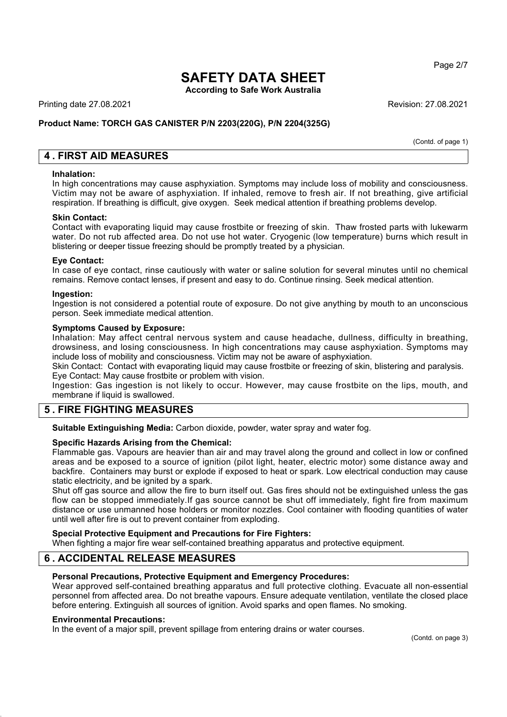**According to Safe Work Australia**

Printing date 27.08.2021 Revision: 27.08.2021

### **Product Name: TORCH GAS CANISTER P/N 2203(220G), P/N 2204(325G)**

(Contd. of page 1)

## **4 . FIRST AID MEASURES**

#### **Inhalation:**

In high concentrations may cause asphyxiation. Symptoms may include loss of mobility and consciousness. Victim may not be aware of asphyxiation. If inhaled, remove to fresh air. If not breathing, give artificial respiration. If breathing is difficult, give oxygen. Seek medical attention if breathing problems develop.

#### **Skin Contact:**

Contact with evaporating liquid may cause frostbite or freezing of skin. Thaw frosted parts with lukewarm water. Do not rub affected area. Do not use hot water. Cryogenic (low temperature) burns which result in blistering or deeper tissue freezing should be promptly treated by a physician.

#### **Eye Contact:**

In case of eye contact, rinse cautiously with water or saline solution for several minutes until no chemical remains. Remove contact lenses, if present and easy to do. Continue rinsing. Seek medical attention.

#### **Ingestion:**

Ingestion is not considered a potential route of exposure. Do not give anything by mouth to an unconscious person. Seek immediate medical attention.

#### **Symptoms Caused by Exposure:**

Inhalation: May affect central nervous system and cause headache, dullness, difficulty in breathing, drowsiness, and losing consciousness. In high concentrations may cause asphyxiation. Symptoms may include loss of mobility and consciousness. Victim may not be aware of asphyxiation.

Skin Contact: Contact with evaporating liquid may cause frostbite or freezing of skin, blistering and paralysis. Eye Contact: May cause frostbite or problem with vision.

Ingestion: Gas ingestion is not likely to occur. However, may cause frostbite on the lips, mouth, and membrane if liquid is swallowed.

## **5 . FIRE FIGHTING MEASURES**

**Suitable Extinguishing Media:** Carbon dioxide, powder, water spray and water fog.

#### **Specific Hazards Arising from the Chemical:**

Flammable gas. Vapours are heavier than air and may travel along the ground and collect in low or confined areas and be exposed to a source of ignition (pilot light, heater, electric motor) some distance away and backfire. Containers may burst or explode if exposed to heat or spark. Low electrical conduction may cause static electricity, and be ignited by a spark.

Shut off gas source and allow the fire to burn itself out. Gas fires should not be extinguished unless the gas flow can be stopped immediately.If gas source cannot be shut off immediately, fight fire from maximum distance or use unmanned hose holders or monitor nozzles. Cool container with flooding quantities of water until well after fire is out to prevent container from exploding.

#### **Special Protective Equipment and Precautions for Fire Fighters:** When fighting a major fire wear self-contained breathing apparatus and protective equipment.

## **6 . ACCIDENTAL RELEASE MEASURES**

### **Personal Precautions, Protective Equipment and Emergency Procedures:**

Wear approved self-contained breathing apparatus and full protective clothing. Evacuate all non-essential personnel from affected area. Do not breathe vapours. Ensure adequate ventilation, ventilate the closed place before entering. Extinguish all sources of ignition. Avoid sparks and open flames. No smoking.

#### **Environmental Precautions:**

In the event of a major spill, prevent spillage from entering drains or water courses.

Page 2/7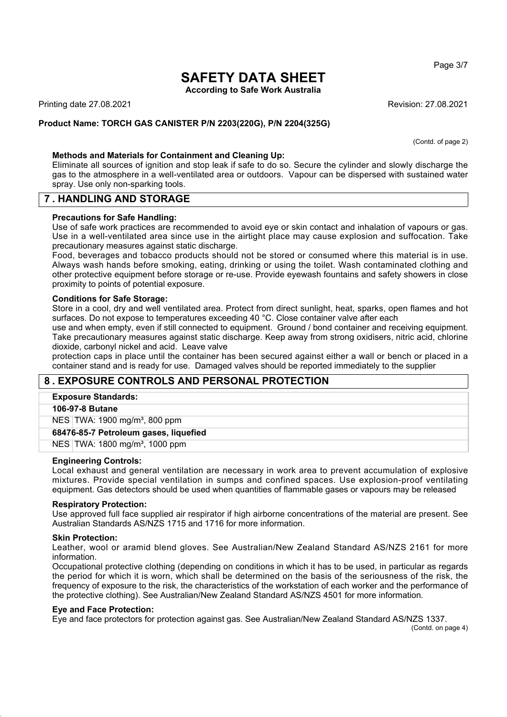**According to Safe Work Australia**

Printing date 27.08.2021 Revision: 27.08.2021

#### **Product Name: TORCH GAS CANISTER P/N 2203(220G), P/N 2204(325G)**

(Contd. of page 2)

#### **Methods and Materials for Containment and Cleaning Up:**

Eliminate all sources of ignition and stop leak if safe to do so. Secure the cylinder and slowly discharge the gas to the atmosphere in a well-ventilated area or outdoors. Vapour can be dispersed with sustained water spray. Use only non-sparking tools.

## **7 . HANDLING AND STORAGE**

#### **Precautions for Safe Handling:**

Use of safe work practices are recommended to avoid eye or skin contact and inhalation of vapours or gas. Use in a well-ventilated area since use in the airtight place may cause explosion and suffocation. Take precautionary measures against static discharge.

Food, beverages and tobacco products should not be stored or consumed where this material is in use. Always wash hands before smoking, eating, drinking or using the toilet. Wash contaminated clothing and other protective equipment before storage or re-use. Provide eyewash fountains and safety showers in close proximity to points of potential exposure.

#### **Conditions for Safe Storage:**

Store in a cool, dry and well ventilated area. Protect from direct sunlight, heat, sparks, open flames and hot surfaces. Do not expose to temperatures exceeding 40 °C. Close container valve after each

use and when empty, even if still connected to equipment. Ground / bond container and receiving equipment. Take precautionary measures against static discharge. Keep away from strong oxidisers, nitric acid, chlorine dioxide, carbonyl nickel and acid. Leave valve

protection caps in place until the container has been secured against either a wall or bench or placed in a container stand and is ready for use. Damaged valves should be reported immediately to the supplier

## **8 . EXPOSURE CONTROLS AND PERSONAL PROTECTION**

#### **Exposure Standards:**

#### **106-97-8 Butane**

NES TWA: 1900 mg/m<sup>3</sup>, 800 ppm

**68476-85-7 Petroleum gases, liquefied**

NES TWA: 1800 mg/m³, 1000 ppm

#### **Engineering Controls:**

Local exhaust and general ventilation are necessary in work area to prevent accumulation of explosive mixtures. Provide special ventilation in sumps and confined spaces. Use explosion-proof ventilating equipment. Gas detectors should be used when quantities of flammable gases or vapours may be released

#### **Respiratory Protection:**

Use approved full face supplied air respirator if high airborne concentrations of the material are present. See Australian Standards AS/NZS 1715 and 1716 for more information.

#### **Skin Protection:**

Leather, wool or aramid blend gloves. See Australian/New Zealand Standard AS/NZS 2161 for more information.

Occupational protective clothing (depending on conditions in which it has to be used, in particular as regards the period for which it is worn, which shall be determined on the basis of the seriousness of the risk, the frequency of exposure to the risk, the characteristics of the workstation of each worker and the performance of the protective clothing). See Australian/New Zealand Standard AS/NZS 4501 for more information.

#### **Eye and Face Protection:**

Eye and face protectors for protection against gas. See Australian/New Zealand Standard AS/NZS 1337.

(Contd. on page 4)

Page 3/7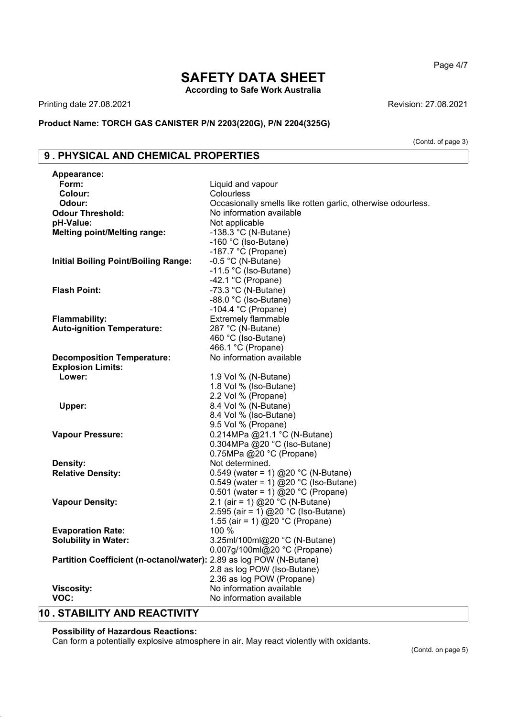## **SAFETY DATA SHEET According to Safe Work Australia**

Printing date 27.08.2021 **Revision: 27.08.2021** 

**Product Name: TORCH GAS CANISTER P/N 2203(220G), P/N 2204(325G)**

(Contd. of page 3)

# **9 . PHYSICAL AND CHEMICAL PROPERTIES**

| Appearance:                                                         |                                                              |
|---------------------------------------------------------------------|--------------------------------------------------------------|
| Form:                                                               | Liquid and vapour                                            |
| Colour:                                                             | Colourless                                                   |
| Odour:                                                              | Occasionally smells like rotten garlic, otherwise odourless. |
| <b>Odour Threshold:</b>                                             | No information available                                     |
| pH-Value:                                                           | Not applicable                                               |
| <b>Melting point/Melting range:</b>                                 | -138.3 $^{\circ}$ C (N-Butane)                               |
|                                                                     | -160 °C (Iso-Butane)                                         |
|                                                                     | -187.7 $°C$ (Propane)                                        |
| <b>Initial Boiling Point/Boiling Range:</b>                         | $-0.5$ °C (N-Butane)                                         |
|                                                                     | -11.5 °C (Iso-Butane)                                        |
|                                                                     | -42.1 $°C$ (Propane)                                         |
| <b>Flash Point:</b>                                                 | -73.3 $^{\circ}$ C (N-Butane)                                |
|                                                                     | -88.0 °C (Iso-Butane)                                        |
|                                                                     | $-104.4$ °C (Propane)                                        |
| <b>Flammability:</b>                                                | <b>Extremely flammable</b>                                   |
| <b>Auto-ignition Temperature:</b>                                   | 287 °C (N-Butane)                                            |
|                                                                     | 460 °C (Iso-Butane)                                          |
|                                                                     | 466.1 °C (Propane)                                           |
| <b>Decomposition Temperature:</b>                                   | No information available                                     |
| <b>Explosion Limits:</b>                                            |                                                              |
| Lower:                                                              | 1.9 Vol % (N-Butane)                                         |
|                                                                     | 1.8 Vol % (Iso-Butane)<br>2.2 Vol % (Propane)                |
| Upper:                                                              | 8.4 Vol % (N-Butane)                                         |
|                                                                     | 8.4 Vol % (Iso-Butane)                                       |
|                                                                     | 9.5 Vol % (Propane)                                          |
| <b>Vapour Pressure:</b>                                             | 0.214MPa @21.1 °C (N-Butane)                                 |
|                                                                     | 0.304MPa @20 °C (Iso-Butane)                                 |
|                                                                     | 0.75MPa @20 °C (Propane)                                     |
| Density:                                                            | Not determined.                                              |
| <b>Relative Density:</b>                                            | 0.549 (water = 1) @20 °C (N-Butane)                          |
|                                                                     | 0.549 (water = 1) @20 °C (Iso-Butane)                        |
|                                                                     | 0.501 (water = 1) @20 °C (Propane)                           |
| <b>Vapour Density:</b>                                              | 2.1 (air = 1) @20 °C (N-Butane)                              |
|                                                                     | 2.595 (air = 1) @ 20 °C (Iso-Butane)                         |
|                                                                     | 1.55 (air = 1) @20 °C (Propane)                              |
| <b>Evaporation Rate:</b>                                            | 100 %                                                        |
| <b>Solubility in Water:</b>                                         | 3.25ml/100ml@20 °C (N-Butane)                                |
|                                                                     | 0.007g/100ml@20 °C (Propane)                                 |
| Partition Coefficient (n-octanol/water): 2.89 as log POW (N-Butane) |                                                              |
|                                                                     | 2.8 as log POW (Iso-Butane)                                  |
|                                                                     | 2.36 as log POW (Propane)                                    |
| <b>Viscosity:</b>                                                   | No information available                                     |
| VOC:                                                                | No information available                                     |
|                                                                     |                                                              |

# **10 . STABILITY AND REACTIVITY**

### **Possibility of Hazardous Reactions:**

Can form a potentially explosive atmosphere in air. May react violently with oxidants.

Page 4/7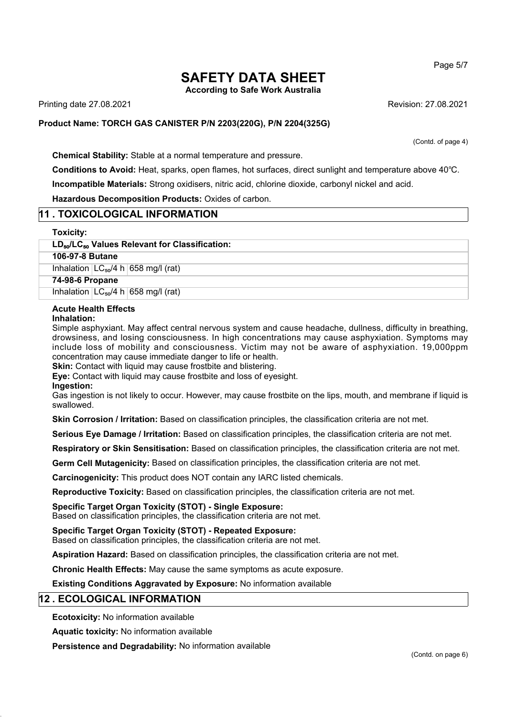**According to Safe Work Australia**

Printing date 27.08.2021 Revision: 27.08.2021

#### **Product Name: TORCH GAS CANISTER P/N 2203(220G), P/N 2204(325G)**

(Contd. of page 4)

Page 5/7

**Chemical Stability:** Stable at a normal temperature and pressure.

**Conditions to Avoid:** Heat, sparks, open flames, hot surfaces, direct sunlight and temperature above 40℃. **Incompatible Materials:** Strong oxidisers, nitric acid, chlorine dioxide, carbonyl nickel and acid.

**Hazardous Decomposition Products:** Oxides of carbon.

## **11 . TOXICOLOGICAL INFORMATION**

#### **Toxicity:**

#### **LD**₅₀**/LC**₅₀ **Values Relevant for Classification:**

**106-97-8 Butane**

Inhalation  $LC_{50}/4$  h 658 mg/l (rat)

**74-98-6 Propane**

Inhalation  $LC_{50}/4$  h 658 mg/l (rat)

#### **Acute Health Effects**

#### **Inhalation:**

Simple asphyxiant. May affect central nervous system and cause headache, dullness, difficulty in breathing, drowsiness, and losing consciousness. In high concentrations may cause asphyxiation. Symptoms may include loss of mobility and consciousness. Victim may not be aware of asphyxiation. 19,000ppm concentration may cause immediate danger to life or health.

**Skin:** Contact with liquid may cause frostbite and blistering.

**Eye:** Contact with liquid may cause frostbite and loss of eyesight.

**Ingestion:**

Gas ingestion is not likely to occur. However, may cause frostbite on the lips, mouth, and membrane if liquid is swallowed.

**Skin Corrosion / Irritation:** Based on classification principles, the classification criteria are not met.

**Serious Eye Damage / Irritation:** Based on classification principles, the classification criteria are not met.

**Respiratory or Skin Sensitisation:** Based on classification principles, the classification criteria are not met.

**Germ Cell Mutagenicity:** Based on classification principles, the classification criteria are not met.

**Carcinogenicity:** This product does NOT contain any IARC listed chemicals.

**Reproductive Toxicity:** Based on classification principles, the classification criteria are not met.

**Specific Target Organ Toxicity (STOT) - Single Exposure:**

Based on classification principles, the classification criteria are not met.

**Specific Target Organ Toxicity (STOT) - Repeated Exposure:**

Based on classification principles, the classification criteria are not met.

**Aspiration Hazard:** Based on classification principles, the classification criteria are not met.

**Chronic Health Effects:** May cause the same symptoms as acute exposure.

**Existing Conditions Aggravated by Exposure:** No information available

## **12 . ECOLOGICAL INFORMATION**

**Ecotoxicity:** No information available

**Aquatic toxicity:** No information available

**Persistence and Degradability:** No information available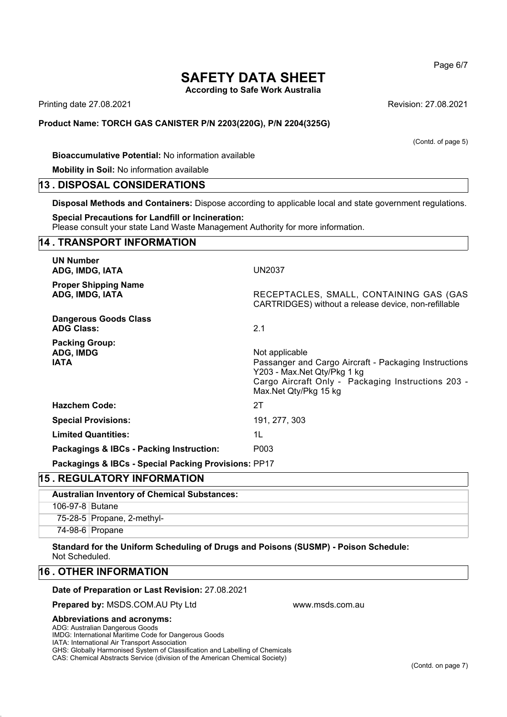**According to Safe Work Australia**

Printing date 27.08.2021 Revision: 27.08.2021

#### **Product Name: TORCH GAS CANISTER P/N 2203(220G), P/N 2204(325G)**

#### **Bioaccumulative Potential:** No information available

**Mobility in Soil:** No information available

#### **13 . DISPOSAL CONSIDERATIONS**

**Disposal Methods and Containers:** Dispose according to applicable local and state government regulations.

#### **Special Precautions for Landfill or Incineration:**

Please consult your state Land Waste Management Authority for more information.

## **14 . TRANSPORT INFORMATION UN Number ADG, IMDG, IATA** UN2037 **Proper Shipping Name ADG, IMDG, IATA** RECEPTACLES, SMALL, CONTAINING GAS (GAS CARTRIDGES) without a release device, non-refillable **Dangerous Goods Class ADG Class:** 2.1 **Packing Group:** ADG, IMDG **Not applicable** Not applicable **IATA Passanger and Cargo Aircraft - Packaging Instructions** Y203 - Max.Net Qty/Pkg 1 kg Cargo Aircraft Only - Packaging Instructions 203 - Max.Net Qty/Pkg 15 kg **Hazchem Code:** 2T **Special Provisions:** 191, 277, 303 **Limited Quantities:** 1L **Packagings & IBCs - Packing Instruction:** P003 **Packagings & IBCs - Special Packing Provisions:** PP17

### **15 . REGULATORY INFORMATION**

| <b>Australian Inventory of Chemical Substances:</b> |                            |
|-----------------------------------------------------|----------------------------|
| 106-97-8 Butane                                     |                            |
|                                                     | 75-28-5 Propane, 2-methyl- |
|                                                     | 74-98-6 Propane            |

www.msds.com.au

**Standard for the Uniform Scheduling of Drugs and Poisons (SUSMP) - Poison Schedule:** Not Scheduled.

### **16 . OTHER INFORMATION**

#### **Date of Preparation or Last Revision:** 27.08.2021

**Prepared by:** MSDS.COM.AU Pty Ltd

#### **Abbreviations and acronyms:**

ADG: Australian Dangerous Goods

IMDG: International Maritime Code for Dangerous Goods

IATA: International Air Transport Association

GHS: Globally Harmonised System of Classification and Labelling of Chemicals

CAS: Chemical Abstracts Service (division of the American Chemical Society)

Page 6/7

(Contd. of page 5)